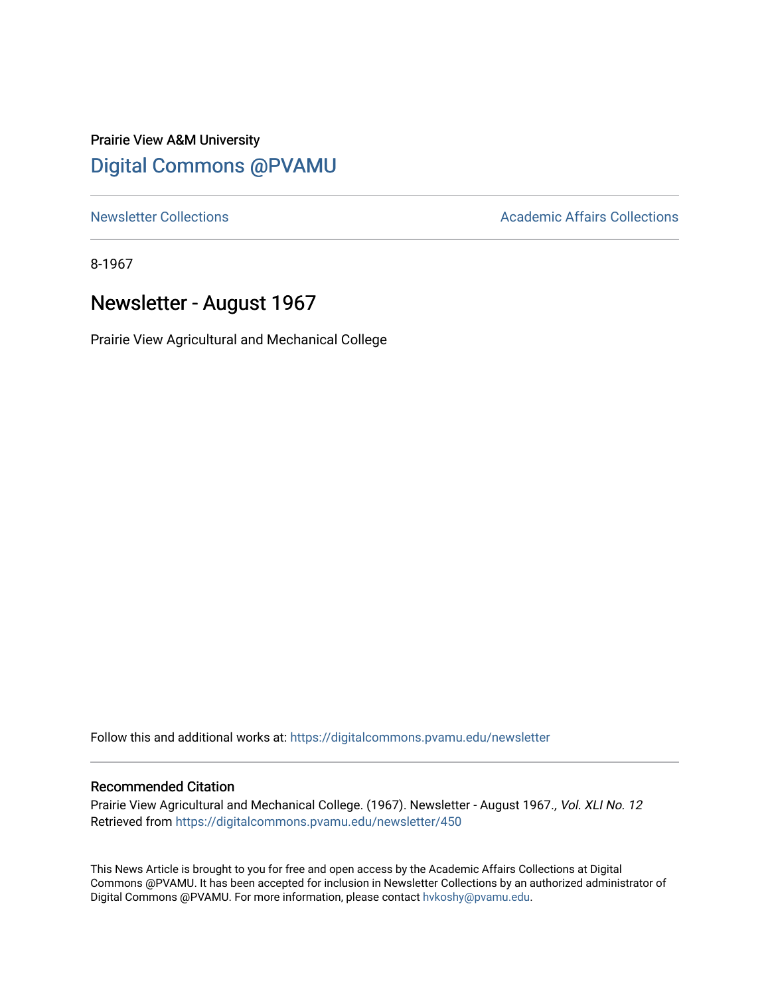# Prairie View A&M University [Digital Commons @PVAMU](https://digitalcommons.pvamu.edu/)

[Newsletter Collections](https://digitalcommons.pvamu.edu/newsletter) **Academic Affairs Collections Academic Affairs Collections** 

8-1967

# Newsletter - August 1967

Prairie View Agricultural and Mechanical College

Follow this and additional works at: [https://digitalcommons.pvamu.edu/newsletter](https://digitalcommons.pvamu.edu/newsletter?utm_source=digitalcommons.pvamu.edu%2Fnewsletter%2F450&utm_medium=PDF&utm_campaign=PDFCoverPages) 

### Recommended Citation

Prairie View Agricultural and Mechanical College. (1967). Newsletter - August 1967., Vol. XLI No. 12 Retrieved from [https://digitalcommons.pvamu.edu/newsletter/450](https://digitalcommons.pvamu.edu/newsletter/450?utm_source=digitalcommons.pvamu.edu%2Fnewsletter%2F450&utm_medium=PDF&utm_campaign=PDFCoverPages)

This News Article is brought to you for free and open access by the Academic Affairs Collections at Digital Commons @PVAMU. It has been accepted for inclusion in Newsletter Collections by an authorized administrator of Digital Commons @PVAMU. For more information, please contact [hvkoshy@pvamu.edu.](mailto:hvkoshy@pvamu.edu)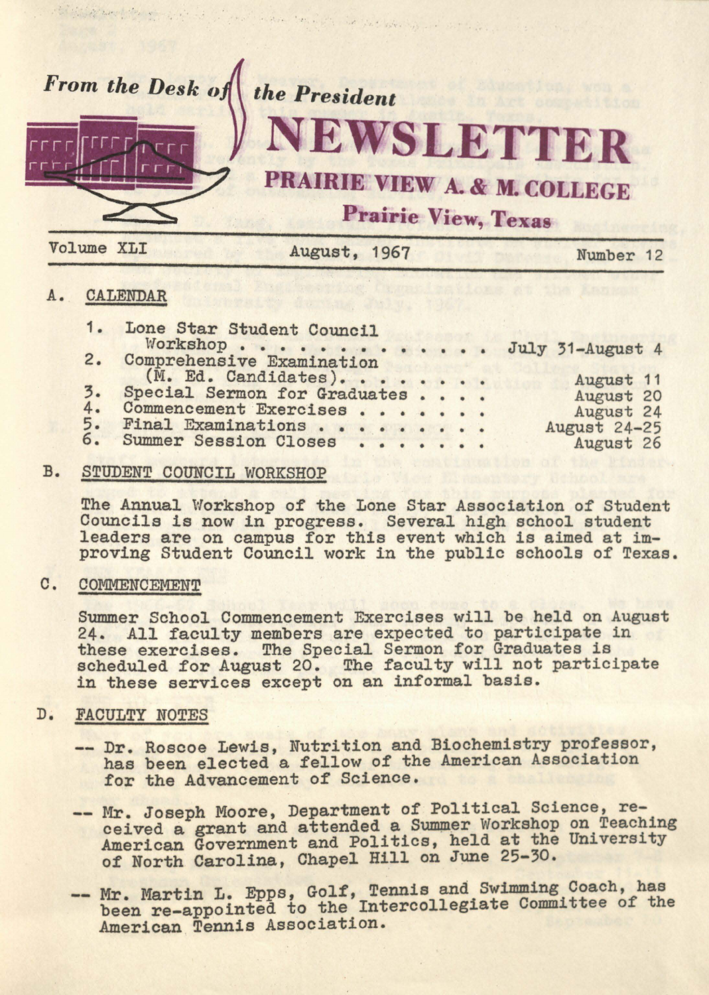

still the secretary of the state of the state with the state of the state of the state of the

### A. CALENDAR

|                  | 1. Lone Star Student Council |  |  |                     |
|------------------|------------------------------|--|--|---------------------|
|                  | Workshop July 31-August 4    |  |  |                     |
|                  | 2. Comprehensive Examination |  |  |                     |
|                  | (M. Ed. Candidates).         |  |  | August 11           |
| $\overline{3}$ . | Special Sermon for Graduates |  |  | August 20           |
| 4.               | Commencement Exercises       |  |  | August 24           |
| 5.               | Final Examinations           |  |  | <b>August 24-25</b> |
|                  | 6. Summer Session Closes     |  |  | August 26           |
|                  |                              |  |  |                     |

#### B. STUDENT COUNCIL WORKSHOP

The Annual Workshop of the Lone Star Association of Student Councils is now in progress. Several high school student leaders are on campus for this event which is aimed at improving Student Council work in the public schools of Texas.

## C. COMMENCEMENT

Summer School Commencement Exercises will be held on August 24. All faculty members are expected to participate in these exercises. The Special Sermon for Graduates is scheduled for August 20. The faculty will not participate in these services except on an informal basis.

## D. FACULTY NOTES

- Dr. Roscoe Lewis, Nutrition and Biochemistry professor, has been elected a fellow of the American Association for the Advancement of Science.
- -- Mr. Joseph Moore, Department of Political Science, received a grant and attended a Summer Workshop on Teaching American Government and Politics, held at the University of North Carolina, Chapel Hill on June 25-30.
- -- Mr. Martin L. Epps, Golf, Tennis and Swimming Coach, has been re-appointed to the Intercollegiate Committee of the American Tennis Association.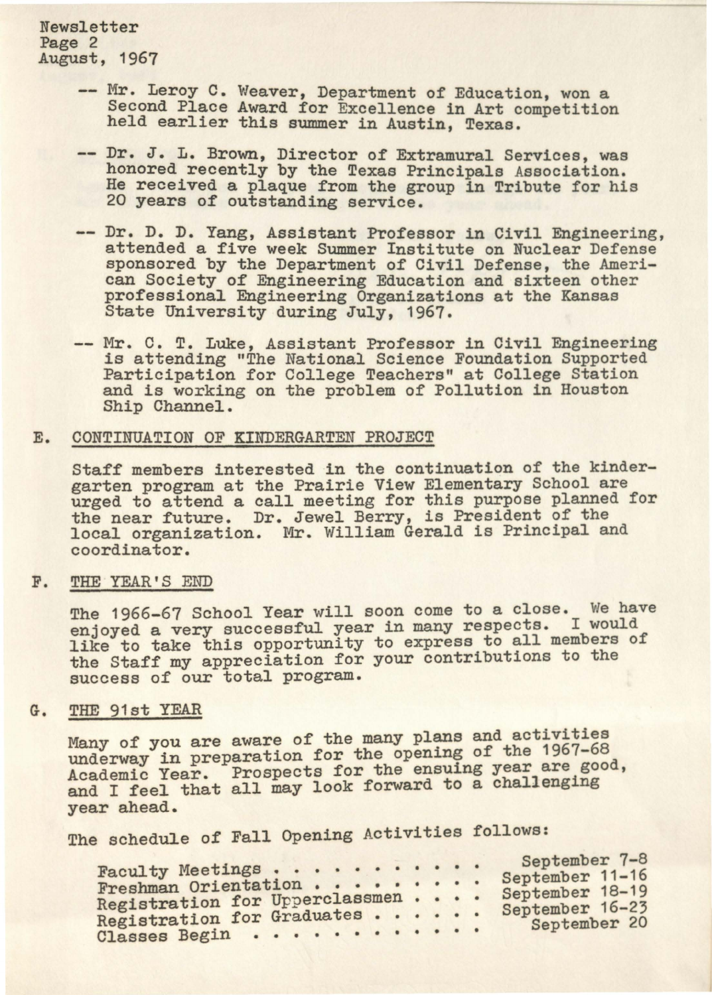Newsletter Page 2 August, 1967

- -- Mr. Leroy C. Weaver, Department of Education, won a Second Place Award for Excellence in Art competition held earlier this summer in Austin, Texas.
- -- Dr. J. L. Brown, Director of Extramural Services, was honored recently by the Texas Principals Association. He received a plaque from the group in Tribute for his 20 years of outstanding service.
- Dr. D. D. Yang, Assistant Professor in Civil Engineering, attended a five week Summer Institute on Nuclear Defense sponsored by the Department of Civil Defense, the American Society of Engineering Education and sixteen other professional Engineering Organizations at the Kansas State University during July, 1967.
- Mr. C. T. Luke, Assistant Professor in Civil Engineering is attending "The National Science Foundation Supported Participation for College Teachers" at College Station and is working on the problem of Pollution in Houston Ship Channel.

#### E. CONTINUATION OF KINDERGARTEN PROJECT

Staff members interested in the continuation of the kindergarten program at the Prairie View Elementary School are urged to attend a call meeting for this purpose planned for the near future. Dr. Jewel Berry, is President of the local organization. Mr. William Gerald is Principal and coordinator.

#### F. THE YEAR'S END

The 1966-67 School Year will soon come to a close. We have enjoyed a very successful year in many respects. I would like to take this opportunity to express to all members of the Staff my appreciation for your contributions to the success of our total program.

#### G. THE 91st YEAR

Many of you are aware of the many plans and activities underway in preparation for the opening of the 1967-68 Academic Year. Prospects for the ensuing year are good, and I feel that all may look forward to a challenging year ahead.

The schedule of Fall Opening Activities follows:

| Faculty Meetings                                                              |  |  | September 7-8                                      |
|-------------------------------------------------------------------------------|--|--|----------------------------------------------------|
| Freshman Orientation                                                          |  |  | September 11-16                                    |
|                                                                               |  |  |                                                    |
|                                                                               |  |  |                                                    |
|                                                                               |  |  |                                                    |
| Registration for Upperclassmen<br>Registration for Graduates<br>Classes Begin |  |  | September 18-19<br>September 16-23<br>September 20 |